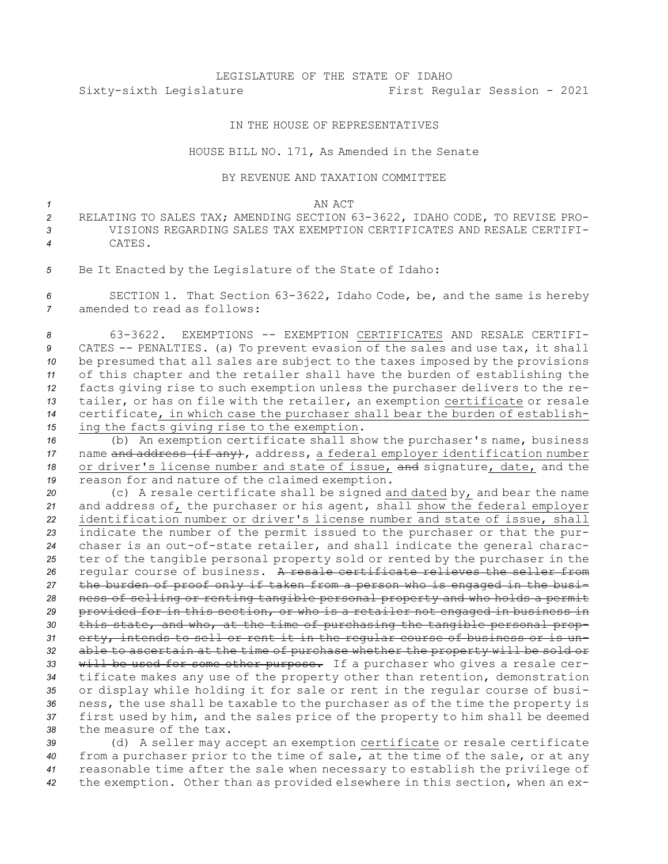## LEGISLATURE OF THE STATE OF IDAHO Sixty-sixth Legislature First Regular Session - 2021

## IN THE HOUSE OF REPRESENTATIVES

## HOUSE BILL NO. 171, As Amended in the Senate

## BY REVENUE AND TAXATION COMMITTEE

*1* AN ACT

- *<sup>2</sup>* RELATING TO SALES TAX; AMENDING SECTION 63-3622, IDAHO CODE, TO REVISE PRO-*3* VISIONS REGARDING SALES TAX EXEMPTION CERTIFICATES AND RESALE CERTIFI-*4* CATES.
- *<sup>5</sup>* Be It Enacted by the Legislature of the State of Idaho:

*<sup>6</sup>* SECTION 1. That Section 63-3622, Idaho Code, be, and the same is hereby *7* amended to read as follows:

 63-3622. EXEMPTIONS -- EXEMPTION CERTIFICATES AND RESALE CERTIFI- CATES -- PENALTIES. (a) To prevent evasion of the sales and use tax, it shall be presumed that all sales are subject to the taxes imposed by the provisions of this chapter and the retailer shall have the burden of establishing the facts giving rise to such exemption unless the purchaser delivers to the re- tailer, or has on file with the retailer, an exemption certificate or resale certificate, in which case the purchaser shall bear the burden of establish-ing the facts giving rise to the exemption.

 (b) An exemption certificate shall show the purchaser's name, business 17 name and address (if any), address, a federal employer identification number or driver's license number and state of issue, and signature, date, and the reason for and nature of the claimed exemption.

 (c) <sup>A</sup> resale certificate shall be signed and dated by, and bear the name and address of, the purchaser or his agent, shall show the federal employer identification number or driver's license number and state of issue, shall indicate the number of the permit issued to the purchaser or that the pur- chaser is an out-of-state retailer, and shall indicate the general charac- ter of the tangible personal property sold or rented by the purchaser in the regular course of business. <sup>A</sup> resale certificate relieves the seller from the burden of proof only if taken from <sup>a</sup> person who is engaged in the busi- ness of selling or renting tangible personal property and who holds <sup>a</sup> permit provided for in this section, or who is <sup>a</sup> retailer not engaged in business in this state, and who, at the time of purchasing the tangible personal prop- erty, intends to sell or rent it in the regular course of business or is un- able to ascertain at the time of purchase whether the property will be sold or will be used for some other purpose. If <sup>a</sup> purchaser who gives <sup>a</sup> resale cer- tificate makes any use of the property other than retention, demonstration or display while holding it for sale or rent in the regular course of busi- ness, the use shall be taxable to the purchaser as of the time the property is first used by him, and the sales price of the property to him shall be deemed the measure of the tax.

 (d) <sup>A</sup> seller may accept an exemption certificate or resale certificate from <sup>a</sup> purchaser prior to the time of sale, at the time of the sale, or at any reasonable time after the sale when necessary to establish the privilege of the exemption. Other than as provided elsewhere in this section, when an ex-